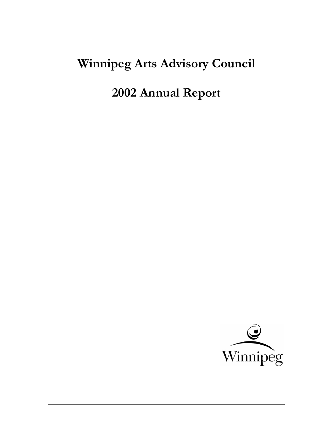# **Winnipeg Arts Advisory Council**

**2002 Annual Report** 

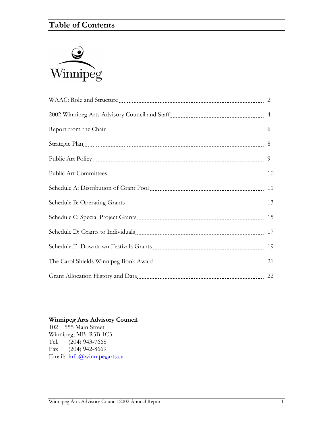# **Table of Contents**



| Strategic Plan 2008 March 2008 March 2008 March 2008 March 2008 March 2008 March 2008 March 2008 March 2008 Ma |  |
|----------------------------------------------------------------------------------------------------------------|--|
|                                                                                                                |  |
|                                                                                                                |  |
|                                                                                                                |  |
|                                                                                                                |  |
|                                                                                                                |  |
|                                                                                                                |  |
|                                                                                                                |  |
|                                                                                                                |  |
|                                                                                                                |  |

#### **Winnipeg Arts Advisory Council**

102 – 555 Main Street Winnipeg, MB R3B 1C3<br>Tel. (204) 943-7668  $(204)$  943-7668 Fax (204) 942-8669 Email: [info@winnipegarts.ca](mailto:info@winnipegarts.ca)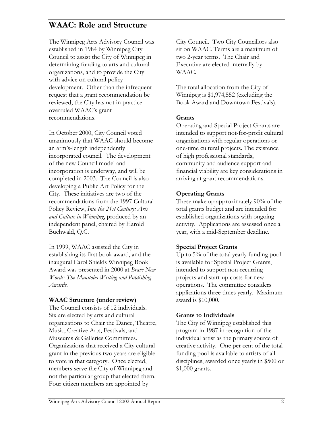# **WAAC: Role and Structure**

The Winnipeg Arts Advisory Council was established in 1984 by Winnipeg City Council to assist the City of Winnipeg in determining funding to arts and cultural organizations, and to provide the City with advice on cultural policy development. Other than the infrequent request that a grant recommendation be reviewed, the City has not in practice overruled WAAC's grant recommendations.

In October 2000, City Council voted unanimously that WAAC should become an arm's-length independently incorporated council. The development of the new Council model and incorporation is underway, and will be completed in 2003. The Council is also developing a Public Art Policy for the City. These initiatives are two of the recommendations from the 1997 Cultural Policy Review, *Into the 21st Century: Arts and Culture in Winnipeg*, produced by an independent panel, chaired by Harold Buchwald, Q.C.

In 1999, WAAC assisted the City in establishing its first book award, and the inaugural Carol Shields Winnipeg Book Award was presented in 2000 at *Brave New Words: The Manitoba Writing and Publishing Awards*.

#### **WAAC Structure (under review)**

The Council consists of 12 individuals. Six are elected by arts and cultural organizations to Chair the Dance, Theatre, Music, Creative Arts, Festivals, and Museums & Galleries Committees. Organizations that received a City cultural grant in the previous two years are eligible to vote in that category. Once elected, members serve the City of Winnipeg and not the particular group that elected them. Four citizen members are appointed by

City Council. Two City Councillors also sit on WAAC. Terms are a maximum of two 2-year terms. The Chair and Executive are elected internally by WAAC.

The total allocation from the City of Winnipeg is \$1,974,552 (excluding the Book Award and Downtown Festivals).

#### **Grants**

Operating and Special Project Grants are intended to support not-for-profit cultural organizations with regular operations or one-time cultural projects. The existence of high professional standards, community and audience support and financial viability are key considerations in arriving at grant recommendations.

#### **Operating Grants**

These make up approximately 90% of the total grants budget and are intended for established organizations with ongoing activity. Applications are assessed once a year, with a mid-September deadline.

#### **Special Project Grants**

Up to 5% of the total yearly funding pool is available for Special Project Grants, intended to support non-recurring projects and start-up costs for new operations. The committee considers applications three times yearly. Maximum award is \$10,000.

#### **Grants to Individuals**

The City of Winnipeg established this program in 1987 in recognition of the individual artist as the primary source of creative activity. One per cent of the total funding pool is available to artists of all disciplines, awarded once yearly in \$500 or \$1,000 grants.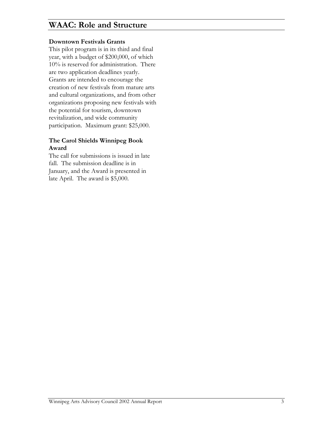# **WAAC: Role and Structure**

#### **Downtown Festivals Grants**

This pilot program is in its third and final year, with a budget of \$200,000, of which 10% is reserved for administration. There are two application deadlines yearly. Grants are intended to encourage the creation of new festivals from mature arts and cultural organizations, and from other organizations proposing new festivals with the potential for tourism, downtown revitalization, and wide community participation. Maximum grant: \$25,000.

#### **The Carol Shields Winnipeg Book Award**

The call for submissions is issued in late fall. The submission deadline is in January, and the Award is presented in late April. The award is \$5,000.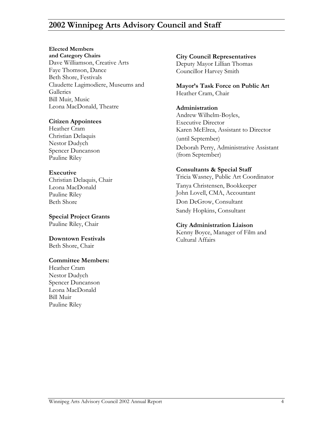## **2002 Winnipeg Arts Advisory Council and Staff**

### **Elected Members**

**and Category Chairs City Council Representatives**  Dave Williamson, Creative Arts Deputy Mayor Lillian Thomas Faye Thomson, Dance Councillor Harvey Smith Beth Shore, Festivals Claudette Lagimodiere, Museums and **Galleries** Bill Muir, Music Leona MacDonald, Theatre **Administration** 

Christian Delaquis<br>
Nestor Dudych<br>
Christian Oelaquis<br>
Christian Delaquis Spencer Duncanson<br>
Republic Bilor (from September) Pauline Riley

**Special Project Grants** 

**Downtown Festivals Cultural Affairs** Beth Shore, Chair

#### **Committee Members:**

Heather Cram Nestor Dudych Spencer Duncanson Leona MacDonald Bill Muir Pauline Riley

**Mayor's Task Force on Public Art** Heather Cram, Chair

Andrew Wilhelm-Boyles, **Citizen Appointees**<br>
Heather Cram<br> **Executive Director**<br> **Executive Director**<br> **Executive Director** Karen McElrea, Assistant to Director Deborah Perry, Administrative Assistant

**Executive Consultants & Special Staff Christian Delaquis, Chair Coordinator Christian Delaquis, Chair Coordinator Christian Delaquis, Chair Coordinator Christian Delaquis, Chair Coordinator Christian Delaquis, Chair Coord** Leona MacDonald Tanya Christensen, Bookkeeper Pauline Riley John Lovell, CMA, Accountant Beth Shore **Don DeGrow**, Consultant Sandy Hopkins, Consultant

### Pauline Riley, Chair **City Administration Liaison**

Kenny Boyce, Manager of Film and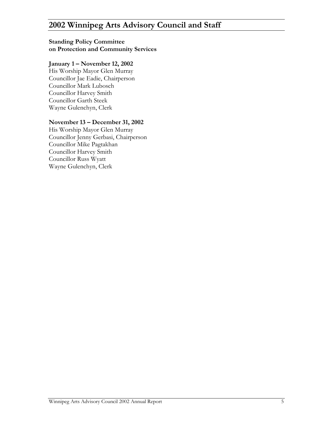# **2002 Winnipeg Arts Advisory Council and Staff**

#### **Standing Policy Committee on Protection and Community Services**

#### **January 1 – November 12, 2002**

His Worship Mayor Glen Murray Councillor Jae Eadie, Chairperson Councillor Mark Lubosch Councillor Harvey Smith Councillor Garth Steek Wayne Gulenchyn, Clerk

#### **November 13 – December 31, 2002**

His Worship Mayor Glen Murray Councillor Jenny Gerbasi, Chairperson Councillor Mike Pagtakhan Councillor Harvey Smith Councillor Russ Wyatt Wayne Gulenchyn, Clerk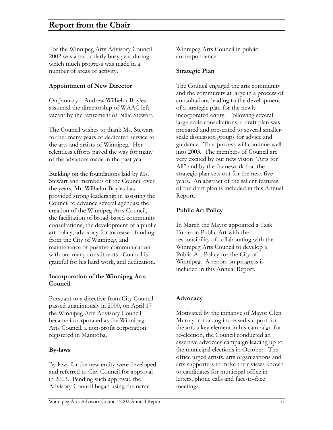For the Winnipeg Arts Advisory Council 2002 was a particularly busy year during which much progress was made in a number of areas of activity.

### **Appointment of New Director**

On January 1 Andrew Wilhelm-Boyles assumed the directorship of WAAC left vacant by the retirement of Billie Stewart.

The Council wishes to thank Ms. Stewart for her many years of dedicated service to the arts and artists of Winnipeg. Her relentless efforts paved the way for many of the advances made in the past year.

Building on the foundations laid by Ms. Stewart and members of the Council over the years, Mr. Wilhelm-Boyles has provided strong leadership in assisting the Council to advance several agendas: the creation of the Winnipeg Arts Council, the facilitation of broad-based community consultations, the development of a public art policy, advocacy for increased funding from the City of Winnipeg, and maintenance of positive communication with our many constituents. Council is grateful for his hard work, and dedication.

### **Incorporation of the Winnipeg Arts Council**

Pursuant to a directive from City Council passed unanimously in 2000, on April 17 the Winnipeg Arts Advisory Council became incorporated as the Winnipeg Arts Council, a non-profit corporation registered in Manitoba.

### **By-laws**

By-laws for the new entity were developed and referred to City Council for approval in 2003. Pending such approval, the Advisory Council began using the name

Winnipeg Arts Council in public correspondence.

### **Strategic Plan**

The Council engaged the arts community and the community at large in a process of consultations leading to the development of a strategic plan for the newlyincorporated entity. Following several large-scale consultations, a draft plan was prepared and presented to several smallerscale discussion groups for advice and guidance. That process will continue well into 2003. The members of Council are very excited by our new vision "Arts for All" and by the framework that the strategic plan sets out for the next five years. An abstract of the salient features of the draft plan is included in this Annual Report.

### **Public Art Policy**

In March the Mayor appointed a Task Force on Public Art with the responsibility of collaborating with the Winnipeg Arts Council to develop a Public Art Policy for the City of Winnipeg. A report on progress is included in this Annual Report.

### **Advocacy**

Motivated by the initiative of Mayor Glen Murray in making increased support for the arts a key element in his campaign for re-election, the Council conducted an assertive advocacy campaign leading up to the municipal elections in October. The office urged artists, arts organizations and arts supporters to make their views known to candidates for municipal office in letters, phone calls and face-to-face meetings.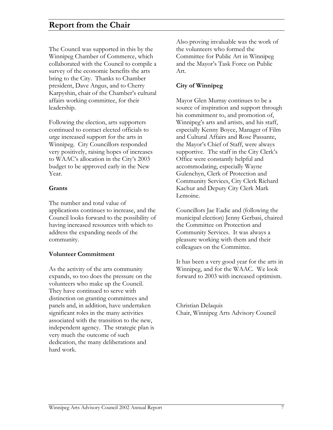## **Report from the Chair**

The Council was supported in this by the Winnipeg Chamber of Commerce, which collaborated with the Council to compile a survey of the economic benefits the arts bring to the City. Thanks to Chamber president, Dave Angus, and to Cherry Karpyshin, chair of the Chamber's cultural affairs working committee, for their leadership.

Following the election, arts supporters continued to contact elected officials to urge increased support for the arts in Winnipeg. City Councillors responded very positively, raising hopes of increases to WAAC's allocation in the City's 2003 budget to be approved early in the New Year.

#### **Grants**

The number and total value of applications continues to increase, and the Council looks forward to the possibility of having increased resources with which to address the expanding needs of the community.

#### **Volunteer Commitment**

As the activity of the arts community expands, so too does the pressure on the volunteers who make up the Council. They have continued to serve with distinction on granting committees and panels and, in addition, have undertaken significant roles in the many activities associated with the transition to the new, independent agency. The strategic plan is very much the outcome of such dedication, the many deliberations and hard work.

Also proving invaluable was the work of the volunteers who formed the Committee for Public Art in Winnipeg and the Mayor's Task Force on Public Art.

#### **City of Winnipeg**

Mayor Glen Murray continues to be a source of inspiration and support through his commitment to, and promotion of, Winnipeg's arts and artists, and his staff, especially Kenny Boyce, Manager of Film and Cultural Affairs and Rose Passante, the Mayor's Chief of Staff, were always supportive. The staff in the City Clerk's Office were constantly helpful and accommodating, especially Wayne Gulenchyn, Clerk of Protection and Community Services, City Clerk Richard Kachur and Deputy City Clerk Mark Lemoine.

Councillors Jae Eadie and (following the municipal election) Jenny Gerbasi, chaired the Committee on Protection and Community Services. It was always a pleasure working with them and their colleagues on the Committee.

It has been a very good year for the arts in Winnipeg, and for the WAAC. We look forward to 2003 with increased optimism.

Christian Delaquis Chair, Winnipeg Arts Advisory Council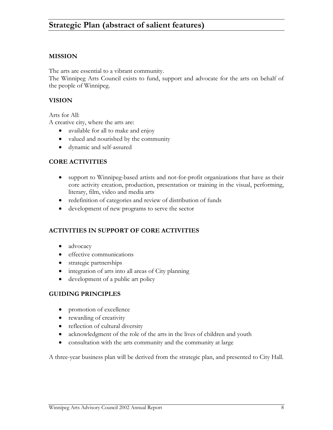#### **MISSION**

The arts are essential to a vibrant community.

The Winnipeg Arts Council exists to fund, support and advocate for the arts on behalf of the people of Winnipeg.

#### **VISION**

Arts for All:

A creative city, where the arts are:

- available for all to make and enjoy
- valued and nourished by the community
- dynamic and self-assured

#### **CORE ACTIVITIES**

- support to Winnipeg-based artists and not-for-profit organizations that have as their core activity creation, production, presentation or training in the visual, performing, literary, film, video and media arts
- redefinition of categories and review of distribution of funds
- development of new programs to serve the sector

#### **ACTIVITIES IN SUPPORT OF CORE ACTIVITIES**

- advocacy
- effective communications
- strategic partnerships
- integration of arts into all areas of City planning
- development of a public art policy

#### **GUIDING PRINCIPLES**

- promotion of excellence
- rewarding of creativity
- reflection of cultural diversity
- acknowledgment of the role of the arts in the lives of children and youth
- consultation with the arts community and the community at large

A three-year business plan will be derived from the strategic plan, and presented to City Hall.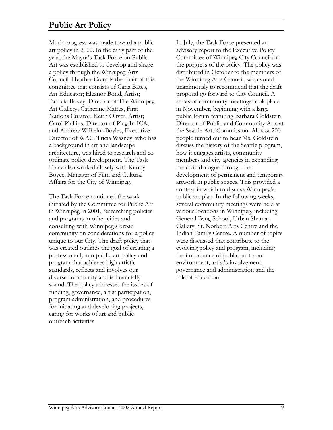## **Public Art Policy**

Much progress was made toward a public art policy in 2002. In the early part of the year, the Mayor's Task Force on Public Art was established to develop and shape a policy through the Winnipeg Arts Council. Heather Cram is the chair of this committee that consists of Carla Bates, Art Educator; Eleanor Bond, Artist; Patricia Bovey, Director of The Winnipeg Art Gallery; Catherine Mattes, First Nations Curator; Keith Oliver, Artist; Carol Phillips, Director of Plug In ICA; and Andrew Wilhelm-Boyles, Executive Director of WAC. Tricia Wasney, who has a background in art and landscape architecture, was hired to research and coordinate policy development. The Task Force also worked closely with Kenny Boyce, Manager of Film and Cultural Affairs for the City of Winnipeg.

The Task Force continued the work initiated by the Committee for Public Art in Winnipeg in 2001, researching policies and programs in other cities and consulting with Winnipeg's broad community on considerations for a policy unique to our City. The draft policy that was created outlines the goal of creating a professionally run public art policy and program that achieves high artistic standards, reflects and involves our diverse community and is financially sound. The policy addresses the issues of funding, governance, artist participation, program administration, and procedures for initiating and developing projects, caring for works of art and public outreach activities.

In July, the Task Force presented an advisory report to the Executive Policy Committee of Winnipeg City Council on the progress of the policy. The policy was distributed in October to the members of the Winnipeg Arts Council, who voted unanimously to recommend that the draft proposal go forward to City Council. A series of community meetings took place in November, beginning with a large public forum featuring Barbara Goldstein, Director of Public and Community Arts at the Seattle Arts Commission. Almost 200 people turned out to hear Ms. Goldstein discuss the history of the Seattle program, how it engages artists, community members and city agencies in expanding the civic dialogue through the development of permanent and temporary artwork in public spaces. This provided a context in which to discuss Winnipeg's public art plan. In the following weeks, several community meetings were held at various locations in Winnipeg, including General Byng School, Urban Shaman Gallery, St. Norbert Arts Centre and the Indian Family Centre. A number of topics were discussed that contribute to the evolving policy and program, including the importance of public art to our environment, artist's involvement, governance and administration and the role of education.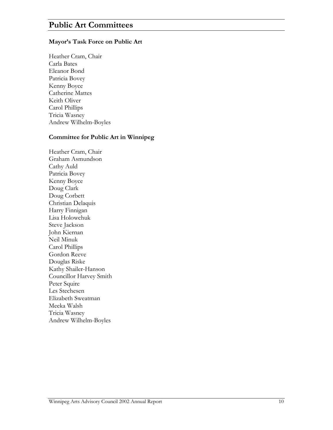### **Public Art Committees**

#### **Mayor's Task Force on Public Art**

Heather Cram, Chair Carla Bates Eleanor Bond Patricia Bovey Kenny Boyce Catherine Mattes Keith Oliver Carol Phillips Tricia Wasney Andrew Wilhelm-Boyles

#### **Committee for Public A rt in Winnipeg**

Heather Cram, Chair Graham Asmundson Cathy Auld Patricia Bovey Kenny Boyce Doug Clark Doug Corbett Christian Delaquis Harry Finnigan Lisa Holowchuk Steve Jackson John Kiernan Neil Minuk Carol Phillips Gordon Reeve Douglas Riske Kathy Shailer-Hanson Councillor Harvey Smith Peter Squire Les Stechesen Elizabeth Sweatman Meeka Walsh Tricia Wasney Andrew Wilhelm-Boyles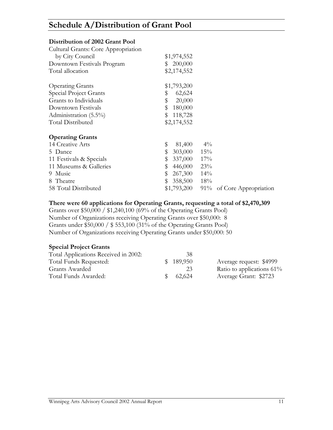# **Schedule A/Distribution of Grant Pool**

#### **Distribution of 2002 Grant Pool**

| Cultural Grants: Core Appropriation |                                          |
|-------------------------------------|------------------------------------------|
| by City Council                     | \$1,974,552                              |
| Downtown Festivals Program          | 200,000<br>S.                            |
| Total allocation                    | \$2,174,552                              |
|                                     |                                          |
| <b>Operating Grants</b>             | \$1,793,200                              |
| Special Project Grants              | \$<br>62,624                             |
| Grants to Individuals               | \$<br>20,000                             |
| Downtown Festivals                  | \$<br>180,000                            |
| Administration (5.5%)               | \$<br>118,728                            |
| Total Distributed                   | \$2,174,552                              |
| <b>Operating Grants</b>             |                                          |
| 14 Creative Arts                    | \$<br>$4\%$<br>81,400                    |
| 5 Dance                             | 15%<br>\$<br>303,000                     |
| 11 Festivals & Specials             | 17%<br>\$<br>337,000                     |
| 11 Museums & Galleries              | \$<br>446,000<br>23%                     |
| 9 Music                             | \$<br>267,300<br>14%                     |
| 8 Theatre                           | \$<br>358,500<br>18%                     |
| 58 Total Distributed                | \$1,793,200<br>91% of Core Appropriation |

#### **There were 60 applications for Operating Grants, requesting a total of \$2,470,309**

Grants over \$50,000 / \$1,240,100 (69% of the Operating Grants Pool) Number of Organizations receiving Operating Grants over \$50,000: 8 Grants under \$50,000 / \$ 553,100 (31% of the Operating Grants Pool) Number of Organizations receiving Operating Grants under \$50,000: 50

#### **Special Project Grants**

| 38        |                              |
|-----------|------------------------------|
| \$189,950 | Average request: \$4999      |
| 23        | Ratio to applications $61\%$ |
| 62.624    | Average Grant: \$2723        |
|           |                              |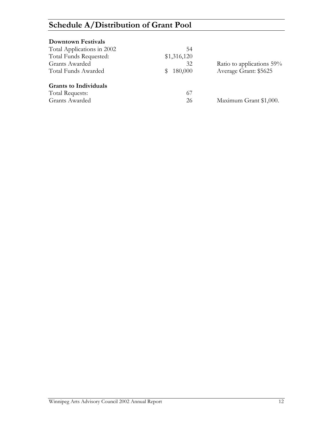# **Schedule A/Distribution of Grant Pool**

| <b>Downtown Festivals</b>    |              |                           |
|------------------------------|--------------|---------------------------|
| Total Applications in 2002   | 54           |                           |
| Total Funds Requested:       | \$1,316,120  |                           |
| <b>Grants Awarded</b>        | 32           | Ratio to applications 59% |
| Total Funds Awarded          | 180,000<br>S | Average Grant: \$5625     |
| <b>Grants to Individuals</b> |              |                           |
| Total Requests:              | 67           |                           |
| Grants Awarded               | 26           | Maximum Grant \$1,000.    |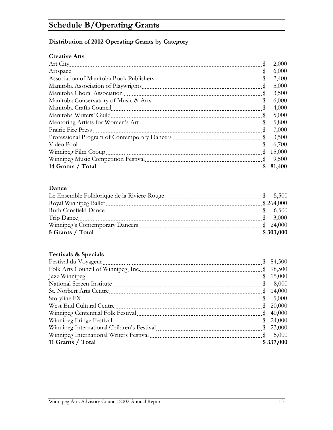# **Schedule B/Operating Grants**

### **Distribution of 2002 Operating Grants by Category**

### **Creative Arts**

|                                                                                                                                                                                                                                     | 2,000  |
|-------------------------------------------------------------------------------------------------------------------------------------------------------------------------------------------------------------------------------------|--------|
| Artspace                                                                                                                                                                                                                            | 6,000  |
| P                                                                                                                                                                                                                                   | 2,400  |
| P                                                                                                                                                                                                                                   | 5,000  |
| Manitoba Choral Association<br>P                                                                                                                                                                                                    | 3,500  |
| P                                                                                                                                                                                                                                   | 6,000  |
| Manitoba Crafts Council [11] Manitoba Crafts Council [11] Manitoba Crafts Council [11] Manitoba Crafts Council [11] Manitoba Crafts Council [11] Manitoba Crafts Council [11] Manitoba Crafts Council [11] Manitoba Crafts Cou<br>S | 4,000  |
| Manitoba Writers' Guild<br>\$                                                                                                                                                                                                       | 5,000  |
| Ş                                                                                                                                                                                                                                   | 5,800  |
| Prairie Fire Press<br>S                                                                                                                                                                                                             | 7,000  |
| \$                                                                                                                                                                                                                                  | 3,500  |
| Video Pool<br>P                                                                                                                                                                                                                     | 6,700  |
| Winnipeg Film Group<br>₩                                                                                                                                                                                                            | 15,000 |
| S                                                                                                                                                                                                                                   | 9,500  |
| \$                                                                                                                                                                                                                                  | 81,400 |

### **Dance**

| Royal Winnipeg Ballet |           |
|-----------------------|-----------|
| Ruth Cansfield Dance  |           |
|                       |           |
|                       | \$24,000  |
| 5 Grants / Total      | \$303,000 |

### **Festivals & Specials**

| \$84,500  |
|-----------|
| 98,500    |
| 15,000    |
| 8,000     |
| 14,000    |
| 5,000     |
| 20,000    |
| \$40,000  |
| \$24,000  |
| \$23,000  |
| 5,000     |
| \$337,000 |
|           |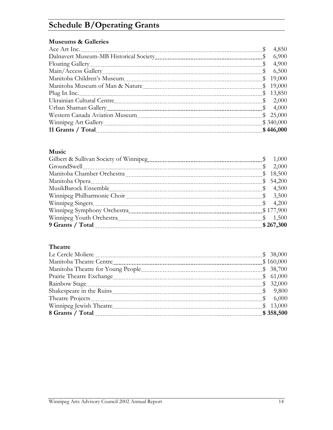# **Schedule B/Operating Grants**

#### **Museums & Galleries**

|                                                                                                                                                                                                                                    | 4,850<br>\$            |
|------------------------------------------------------------------------------------------------------------------------------------------------------------------------------------------------------------------------------------|------------------------|
|                                                                                                                                                                                                                                    | 6,900                  |
|                                                                                                                                                                                                                                    | 4,900<br>$\frac{1}{2}$ |
|                                                                                                                                                                                                                                    | 6,500<br>$\frac{1}{2}$ |
|                                                                                                                                                                                                                                    | \$19,000               |
|                                                                                                                                                                                                                                    | \$19,000               |
|                                                                                                                                                                                                                                    | \$13,850               |
|                                                                                                                                                                                                                                    | $\frac{1}{2}$ 2,000    |
|                                                                                                                                                                                                                                    | \$ 4,000               |
|                                                                                                                                                                                                                                    | \$25,000               |
|                                                                                                                                                                                                                                    | \$340,000              |
| 11 Grants / Total <u>manual communication</u> and contained a state of the state of the state of the state of the state of the state of the state of the state of the state of the state of the state of the state of the state of | \$446,000              |

#### **Music**

| \$ 1,000     |
|--------------|
| \$ 2,000     |
| \$<br>18,500 |
| \$54,200     |
|              |
| \$3,500      |
| \$ 4,200     |
| \$177,900    |
| \$1,500      |
| \$267,300    |

### **Theatre**

|                          | \$38,000  |
|--------------------------|-----------|
|                          | \$160,000 |
|                          | \$38,700  |
| Prairie Theatre Exchange | \$61,000  |
|                          | \$32,000  |
|                          |           |
|                          | \$ 6,000  |
| Winnipeg Jewish Theatre  | \$13,000  |
|                          | \$358,500 |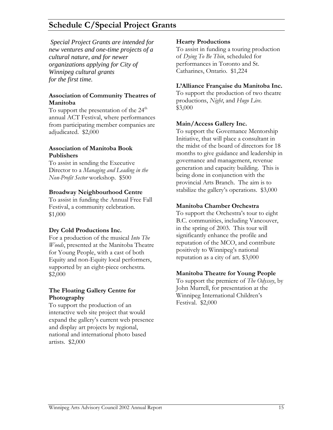# **Schedule C/Special Project Grants**

 *Special Project Grants are intended for new ventures and one-time projects of a cultural nature, and for newer organizations applying for City of Winnipeg cultural grants for the first time.* 

#### **Association of Community Theatres of**  $\frac{10 \text{ support the production of two products}}{10 \text{ productions, } \text{Night, and } \text{Hwo Live}}$ **Manitoba**

To support the presentation of the  $24<sup>th</sup>$  \$3,000 annual ACT Festival, where performances from participating member companies are adjudicated. \$2,000

#### **Association of Manitoba Book Publishers**

To assist in sending the Executive Director to a *Managing and Leading in the Non-Profit Sector* workshop. \$500

#### **Broadway Neighbourhood Centre**

To assist in funding the Annual Free Fall Festival, a community celebration. **Manitoba Chamber Orchestra**  \$1,000

#### **Dry Cold Productions Inc.**

For a production of the musical *Into The Woods*, presented at the Manitoba Theatre for Young People, with a cast of both Equity and non-Equity local performers, supported by an eight-piece orchestra. \$2,000 **Manitoba Theatre for Young People**

#### **The Floating Gallery Centre for Photography**

To support the production of an interactive web site project that would expand the gallery's current web presence and display art projects by regional, national and international photo based artists. \$2,000

#### **Hearty Productions**

To assist in funding a touring production of *Dying To Be Thin*, scheduled for performances in Toronto and St. Catharines, Ontario. \$1,224

#### **L'Alliance Française du Manitoba Inc.**

To support the production of two theatre

### **Main/Access Gallery Inc.**

To support the Governance Mentorship Initiative, that will place a consultant in the midst of the board of directors for 18 months to give guidance and leadership in governance and management, revenue generation and capacity building. This is being done in conjunction with the provincial Arts Branch. The aim is to stabilize the gallery's operations. \$3,000

To support the Orchestra's tour to eight B.C. communities, including Vancouver, in the spring of 2003. This tour will significantly enhance the profile and reputation of the MCO, and contribute positively to Winnipeg's national reputation as a city of art. \$3,000

To support the premiere of *The Odyssey*, by John Murrell, for presentation at the Winnipeg International Children's Festival. \$2,000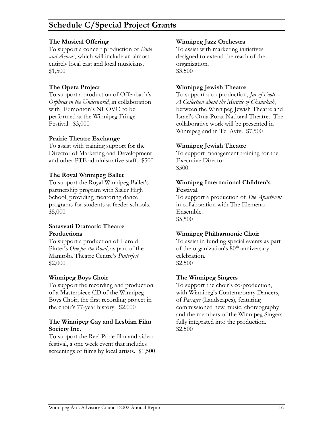# **Schedule C/Special Project Grants**

To support a concert production of *Dido and Aeneas*, which will include an almost entirely local cast and local musicians. \$1,500

To support a production of Offenbach's *Orpheus in the Underworld*, in collaboration with Edmonton's NUOVO to be performed at the Winnipeg Fringe Festival. \$3,000

#### **Prairie Theatre Exchange**

To assist with training support for the **Winnipeg Jewish Theatre** Director of Marketing and Development and other PTE administrative staff. \$500

#### **The Royal Winnipeg Ballet**

To support the Royal Winnipeg Ballet's partnership program with Sisler High School, providing mentoring dance programs for students at feeder schools. \$5,000

# **Sarasvati Dramatic Theatre**

To support a production of Harold Pinter's *One for the Road*, as part of the Manitoba Theatre Centre's *Pinterfest*.  $\text{$2,000}$   $\text{$2,500}$ 

To support the recording and production of a Masterpiece CD of the Winnipeg Boys Choir, the first recording project in the choir's 77-year history. \$2,000

#### **The Winnipeg Gay and Lesbian Film Society Inc.**

To support the Reel Pride film and video festival, a one week event that includes screenings of films by local artists. \$1,500

#### **The Musical Offering Winnipeg Jazz Orchestra**

To assist with marketing initiatives designed to extend the reach of the organization. \$3,500

#### **The Opera Project Winnipeg Jewish Theatre**

To support a co-production, *Jar of Fools – A Collection about the Miracle of Chanukah*, between the Winnipeg Jewish Theatre and Israel's Orna Porat National Theatre. The collaborative work will be presented in Winnipeg and in Tel Aviv. \$7,500

To support management training for the Executive Director. \$500

#### **Winnipeg International Children's Festival**

To support a production of *The Apartment* in collaboration with The Elemeno Ensemble. \$5,500

### **Productions Winnipeg Philharmonic Choir**

To assist in funding special events as part of the organization's  $80<sup>th</sup>$  anniversary celebration.

#### **Winnipeg Boys Choir The Winnipeg Singers**

To support the choir's co-production, with Winnipeg's Contemporary Dancers, of *Paisajes* (Landscapes), featuring commissioned new music, choreography and the members of the Winnipeg Singers fully integrated into the production. \$2,500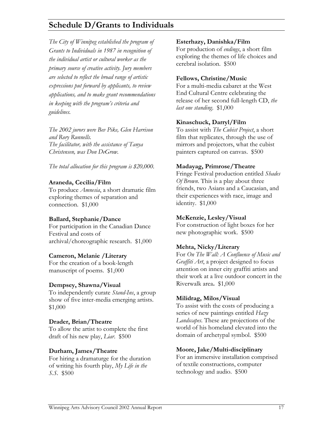# **Schedule D/Grants to Individuals**

*The City of Winnipeg established the program of Grants to Individuals in 1987 in recognition of the individual artist or cultural worker as the primary source of creative activity. Jury members are selected to reflect the broad range of artistic expressions put forward by applicants, to review applications, and to make grant recommendations in keeping with the program's criteria and guidelines.* 

*The 2002 jurors were Bev Pike, Glen Harrison and Rory Runnells. The facilitator, with the assistance of Tanya Christensen, was Don DeGrow.* 

*The total allocation for this program is \$20,000.* **Madayag, Primrose/Theatre** 

#### **Araneda, Cecilia/Film**

To produce *Amnesia*, a short dramatic film exploring themes of separation and connection. \$1,000

#### **Ballard, Stephanie/Dance**

For participation in the Canadian Dance Festival and costs of archival/choreographic research. \$1,000 **Mehta, Nicky/Literary**

#### **Cameron, Melanie /Literary**

For the creation of a book-length manuscript of poems. \$1,000

#### **Dempsey, Shawna/Visual**

To independently curate *Stand-Ins*, a group show of five inter-media emerging artists. \$1,000

#### **Drader, Brian/Theatre**

To allow the artist to complete the first draft of his new play, *Liar*. \$500

#### **Durham, James/Theatre**

For hiring a dramaturge for the duration of writing his fourth play, *My Life in the S.S*. \$500

#### **Esterhazy, Danishka/Film**

For production of *endings*, a short film exploring the themes of life choices and cerebral isolation. \$500

#### **Fellows, Christine/Music**

For a multi-media cabaret at the West End Cultural Centre celebrating the release of her second full-length CD, *the last one standing*. \$1,000

#### **Kinaschuck, Darryl/Film**

To assist with *The Cubist Project*, a short film that replicates, through the use of mirrors and projectors, what the cubist painters captured on canvas. \$500

Fringe Festival production entitled *Shades Of Brown*. This is a play about three friends, two Asians and a Caucasian, and their experiences with race, image and identity. \$1,000

#### **McKenzie, Lesley/Visual**

For construction of light boxes for her new photographic work. \$500

For *On The Wall: A Confluence of Music and Graffiti Art*, a project designed to focus attention on inner city graffiti artists and their work at a live outdoor concert in the Riverwalk area**.** \$1,000

#### **Milidrag, Milos/Visual**

To assist with the costs of producing a series of new paintings entitled *Hazy Landscapes*. These are projections of the world of his homeland elevated into the domain of archetypal symbol. \$500

#### **Moore, Jake/Multi-disciplinary**

For an immersive installation comprised of textile constructions, computer technology and audio. \$500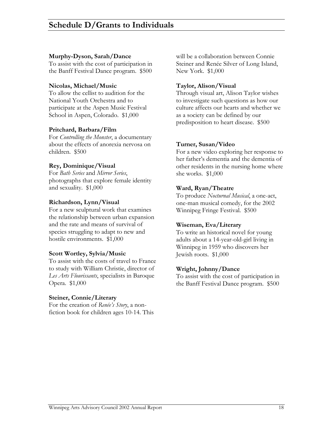#### **Murphy-Dyson, Sarah/Dance**

To assist with the cost of participation in the Banff Festival Dance program. \$500

#### **Nicolas, Michael/Music**

To allow the cellist to audition for the National Youth Orchestra and to participate at the Aspen Music Festival School in Aspen, Colorado. \$1,000

#### **Pritchard, Barbara/Film**

For *Controlling the Monster*, a documentary about the effects of anorexia nervosa on children. \$500

#### **Rey, Dominique/Visual**

For *Bath Series* and *Mirror Series*, photographs that explore female identity and sexuality. \$1,000

#### **Richardson, Lynn/Visual**

For a new sculptural work that examines the relationship between urban expansion and the rate and means of survival of species struggling to adapt to new and hostile environments. \$1,000

#### **Scott Wortley, Sylvia/Music**

To assist with the costs of travel to France to study with William Christie, director of *Les Arts Flourissants*, specialists in Baroque Opera. \$1,000

#### **Steiner, Connie/Literary**

For the creation of *Renée's Story*, a nonfiction book for children ages 10-14. This will be a collaboration between Connie Steiner and Renée Silver of Long Island, New York. \$1,000

#### **Taylor, Alison/Visual**

Through visual art, Alison Taylor wishes to investigate such questions as how our culture affects our hearts and whether we as a society can be defined by our predisposition to heart disease. \$500

#### **Turner, Susan/Video**

For a new video exploring her response to her father's dementia and the dementia of other residents in the nursing home where she works. \$1,000

#### **Ward, Ryan/Theatre**

To produce *Nocturnal Musical*, a one-act, one-man musical comedy, for the 2002 Winnipeg Fringe Festival. \$500

#### **Wiseman, Eva/Literary**

To write an historical novel for young adults about a 14-year-old-girl living in Winnipeg in 1959 who discovers her Jewish roots. \$1,000

#### **Wright, Johnny/Dance**

To assist with the cost of participation in the Banff Festival Dance program. \$500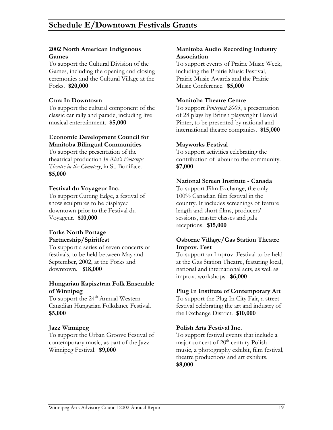#### **2002 North American Indigenous Games**

To support the Cultural Division of the Games, including the opening and closing ceremonies and the Cultural Village at the Forks. **\$20,000**

To support the cultural component of the classic car rally and parade, including live musical entertainment. **\$5,000** 

#### **Economic Development Council for Manitoba Bilingual Communities Mayworks Festival**

To support the presentation of the theatrical production *In Riel's Footsteps – Theatre in the Cemetery*, in St. Boniface. **\$5,000** 

### **Festival du Voyageur Inc.**

To support Cutting Edge, a festival of snow sculptures to be displayed downtown prior to the Festival du Voyageur. **\$10,000** 

# **Forks North Portage**

To support a series of seven concerts or **Improv. Fest**  festivals, to be held between May and September, 2002, at the Forks and downtown. **\$18,000** 

#### **Hungarian Kapisztran Folk Ensemble of Winnipeg Plug In Institute of Contemporary Art**

To support the 24<sup>th</sup> Annual Western Canadian Hungarian Folkdance Festival. **\$5,000** the Exchange District. **\$10,000** 

To support the Urban Groove Festival of contemporary music, as part of the Jazz Winnipeg Festival. **\$9,000** 

#### **Manitoba Audio Recording Industry Association**

To support events of Prairie Music Week, including the Prairie Music Festival, Prairie Music Awards and the Prairie Music Conference. **\$5,000** 

#### **Cruz In Downtown Manitoba Theatre Centre**

To support *Pinterfest 2003*, a presentation of 28 plays by British playwright Harold Pinter, to be presented by national and international theatre companies. **\$15,000** 

To support activities celebrating the contribution of labour to the community. **\$7,000** 

#### **National Screen Institute - Canada**

To support Film Exchange, the only 100% Canadian film festival in the country. It includes screenings of feature length and short films, producers' sessions, master classes and gala receptions. **\$15,000** 

# **Partnership/Spiritfest Osborne Village/Gas Station Theatre**

To support an Improv. Festival to be held at the Gas Station Theatre, featuring local, national and international acts, as well as improv. workshops. **\$6,000** 

To support the Plug In City Fair, a street festival celebrating the art and industry of

### **Jazz Winnipeg Polish Arts Festival Inc.**

To support festival events that include a major concert of  $20<sup>th</sup>$  century Polish music, a photography exhibit, film festival, theatre productions and art exhibits. **\$8,000**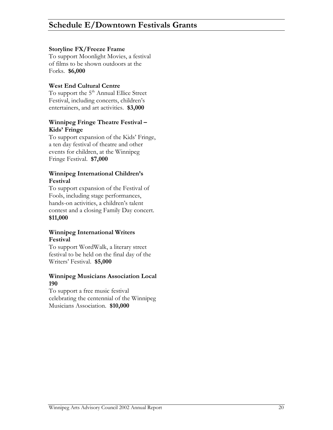#### **Storyline FX/Freeze Frame**

To support Moonlight Movies, a festival of films to be shown outdoors at the Forks. **\$6,000** 

### **West End Cultural Centre**

To support the 5<sup>th</sup> Annual Ellice Street Festival, including concerts, children's entertainers, and art activities. **\$3,000**

#### **Winnipeg Fringe Theatre Festival – Kids' Fringe**

To support expansion of the Kids' Fringe, a ten day festival of theatre and other events for children, at the Winnipeg Fringe Festival. **\$7,000** 

### **Winnipeg International Children's Festival**

To support expansion of the Festival of Fools, including stage performances, hands-on activities, a children's talent contest and a closing Family Day concert. **\$11,000** 

#### **Winnipeg International Writers Festival**

To support WordWalk, a literary street festival to be held on the final day of the Writers' Festival. **\$5,000** 

#### **Winnipeg Musicians Association Local 190**

To support a free music festival celebrating the centennial of the Winnipeg Musicians Association. **\$10,000**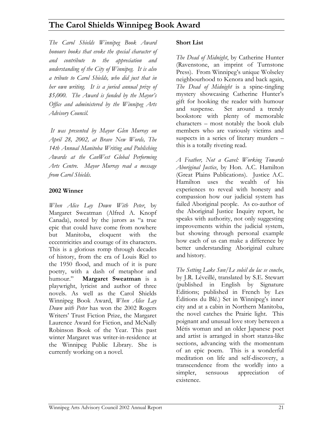# **The Carol Shields Winnipeg Book Award**

*The Carol Shields Winnipeg Book Award honours books that evoke the special character of and contribute to the appreciation and understanding of the City of Winnipeg. It is also a tribute to Carol Shields, who did just that in her own writing. It is a juried annual prize of \$5,000. The Award is funded by the Mayor's Office and administered by the Winnipeg Arts Advisory Council.* 

*It was presented by Mayor Glen Murray on April 28, 2002, at Brave New Words, The 14th Annual Manitoba Writing and Publishing Awards at the CanWest Global Performing Arts Centre. Mayor Murray read a message from Carol Shields.*

#### **2002 Winner**

*When Alice Lay Down With Peter*, by Margaret Sweatman (Alfred A. Knopf Canada), noted by the jurors as "a true epic that could have come from nowhere but Manitoba, eloquent with the eccentricities and courage of its characters. This is a glorious romp through decades of history, from the era of Louis Riel to the 1950 flood, and much of it is pure poetry, with a dash of metaphor and<br>humour." **Margaret Sweatman** is a **Margaret Sweatman** is a playwright, lyricist and author of three novels. As well as the Carol Shields Winnipeg Book Award, *When Alice Lay Down with Peter* has won the 2002 Rogers Writers' Trust Fiction Prize, the Margaret Laurence Award for Fiction, and McNally Robinson Book of the Year. This past winter Margaret was writer-in-residence at the Winnipeg Public Library. She is currently working on a novel.

#### **Short List**

*The Dead of Midnight*, by Catherine Hunter (Ravenstone, an imprint of Turnstone Press). From Winnipeg's unique Wolseley neighbourhood to Kenora and back again, *The Dead of Midnight* is a spine-tingling mystery showcasing Catherine Hunter's gift for hooking the reader with humour and suspense. Set around a trendy bookstore with plenty of memorable characters – most notably the book club members who are variously victims and suspects in a series of literary murders – this is a totally riveting read.

*A Feather, Not a Gavel: Working Towards Aboriginal Justice*, by Hon. A.C. Hamilton (Great Plains Publications). Justice A.C. Hamilton uses the wealth of his experiences to reveal with honesty and compassion how our judicial system has failed Aboriginal people. As co-author of the Aboriginal Justice Inquiry report, he speaks with authority, not only suggesting improvements within the judicial system, but showing through personal example how each of us can make a difference by better understanding Aboriginal culture and history.

*The Setting Lake Sun/Le soleil du lac se couche*, by J.R. Léveillé, translated by S.E. Stewart (published in English by Signature Editions; published in French by Les Éditions du Blé.) Set in Winnipeg's inner city and at a cabin in Northern Manitoba, the novel catches the Prairie light. This poignant and unusual love story between a Métis woman and an older Japanese poet and artist is arranged in short stanza-like sections, advancing with the momentum of an epic poem. This is a wonderful meditation on life and self-discovery, a transcendence from the worldly into a simpler, sensuous appreciation of existence.